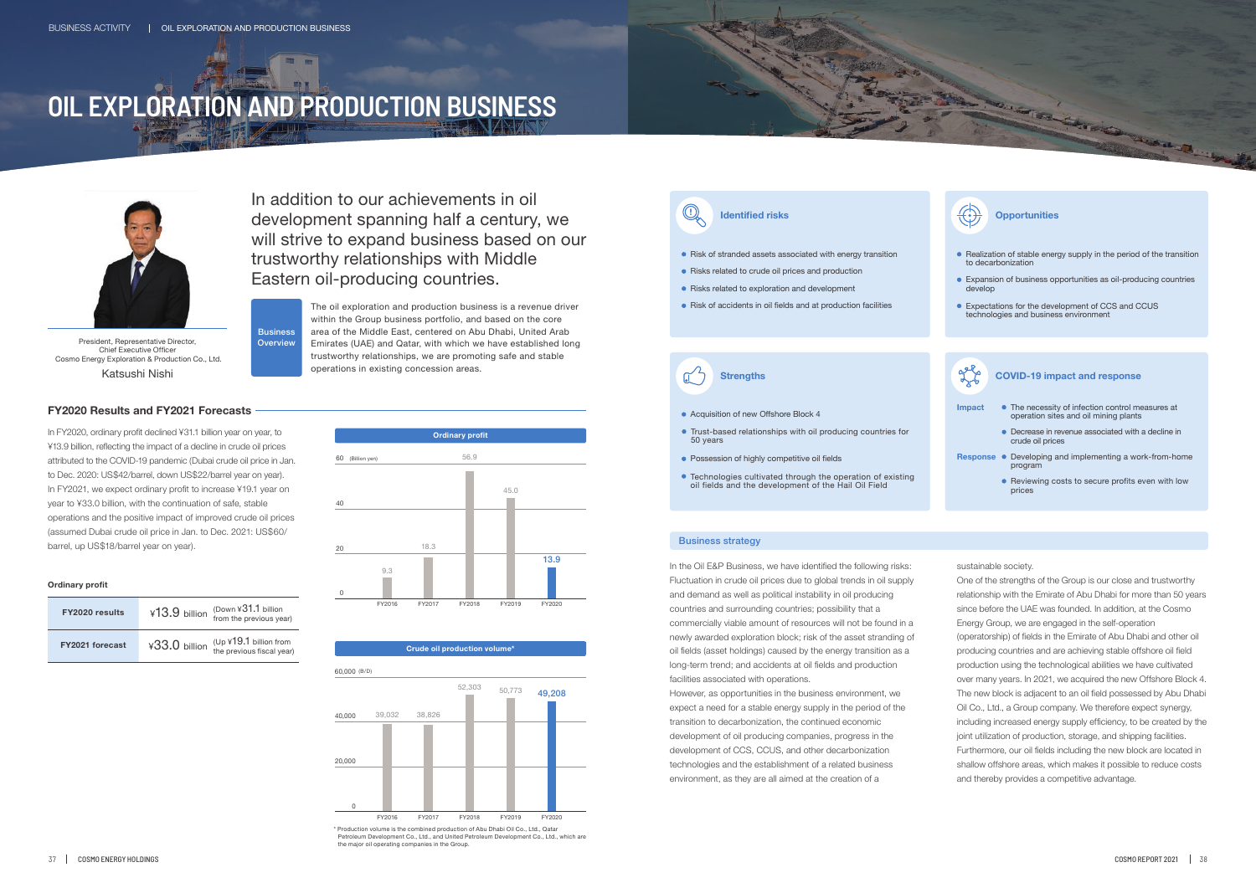In addition to our achievements in oil development spanning half a century, we will strive to expand business based on our trustworthy relationships with Middle Eastern oil-producing countries.

> The oil exploration and production business is a revenue driver within the Group business portfolio, and based on the core area of the Middle East, centered on Abu Dhabi, United Arab Emirates (UAE) and Qatar, with which we have established long trustworthy relationships, we are promoting safe and stable

operations in existing concession areas.

**Ordinary profit** 60 (Billion yen) 40 20 0 FY2016 FY2017 FY2018 FY2019 FY2020 9.3 18.3 13.9 45.0 56.9

### **Crude oil production volume\***



In FY2020, ordinary profit declined ¥31.1 billion year on year, to ¥13.9 billion, reflecting the impact of a decline in crude oil prices attributed to the COVID-19 pandemic (Dubai crude oil price in Jan. to Dec. 2020: US\$42/barrel, down US\$22/barrel year on year). In FY2021, we expect ordinary profit to increase ¥19.1 year on year to ¥33.0 billion, with the continuation of safe, stable operations and the positive impact of improved crude oil prices (assumed Dubai crude oil price in Jan. to Dec. 2021: US\$60/ barrel, up US\$18/barrel year on year).

### **Ordinary profit**

| <b>FY2020 results</b>  | ¥13.9 billion | (Down $431.1$ billion<br>from the previous year)      |
|------------------------|---------------|-------------------------------------------------------|
| <b>FY2021 forecast</b> | ¥33.0 billion | $(Up$ ¥19.1 billion from<br>the previous fiscal year) |

### Business strategy

\* Production volume is the combined production of Abu Dhabi Oil Co., Ltd., Qatar Petroleum Development Co., Ltd., and United Petroleum Development the major oil operating companies in the Group.



- 
- Risk of stranded assets associated with energy transition
- Risks related to crude oil prices and production
- Risks related to exploration and development
- Risk of accidents in oil fields and at production facilities

 $\sqrt{2}$ 

In the Oil E&P Business, we have identified the following risks: Fluctuation in crude oil prices due to global trends in oil supply and demand as well as political instability in oil producing countries and surrounding countries; possibility that a commercially viable amount of resources will not be found in a newly awarded exploration block; risk of the asset stranding of oil fields (asset holdings) caused by the energy transition as a long-term trend; and accidents at oil fields and production facilities associated with operations.

- Realization of stable energy supply in the period of the transition to decarbonization
- Expansion of business opportunities as oil-producing countries develop
- Expectations for the development of CCS and CCUS technologies and business environment

- **Acquisition of new Offshore Block 4 Impact**
- Trust-based relationships with oil producing countries for 50 years
- Possession of highly competitive oil fields
- Technologies cultivated through the operation of existing oil fields and the development of the Hail Oil Field

However, as opportunities in the business environment, we expect a need for a stable energy supply in the period of the transition to decarbonization, the continued economic development of oil producing companies, progress in the development of CCS, CCUS, and other decarbonization technologies and the establishment of a related business environment, as they are all aimed at the creation of a





### **Identified risks** *<b>Identified risks Identifies*

### sustainable society.

One of the strengths of the Group is our close and trustworthy relationship with the Emirate of Abu Dhabi for more than 50 years since before the UAE was founded. In addition, at the Cosmo Energy Group, we are engaged in the self-operation (operatorship) of fields in the Emirate of Abu Dhabi and other oil producing countries and are achieving stable offshore oil field production using the technological abilities we have cultivated over many years. In 2021, we acquired the new Offshore Block 4. The new block is adjacent to an oil field possessed by Abu Dhabi Oil Co., Ltd., a Group company. We therefore expect synergy, including increased energy supply efficiency, to be created by the joint utilization of production, storage, and shipping facilities. Furthermore, our oil fields including the new block are located in shallow offshore areas, which makes it possible to reduce costs and thereby provides a competitive advantage.

# **OIL EXPLORATION AND PRODUCTION BUSINESS**

**Business Overview** 



President, Representative Director, Chief Executive Officer Cosmo Energy Exploration & Production Co., Ltd. Katsushi Nishi



### **FY2020 Results and FY2021 Forecasts**